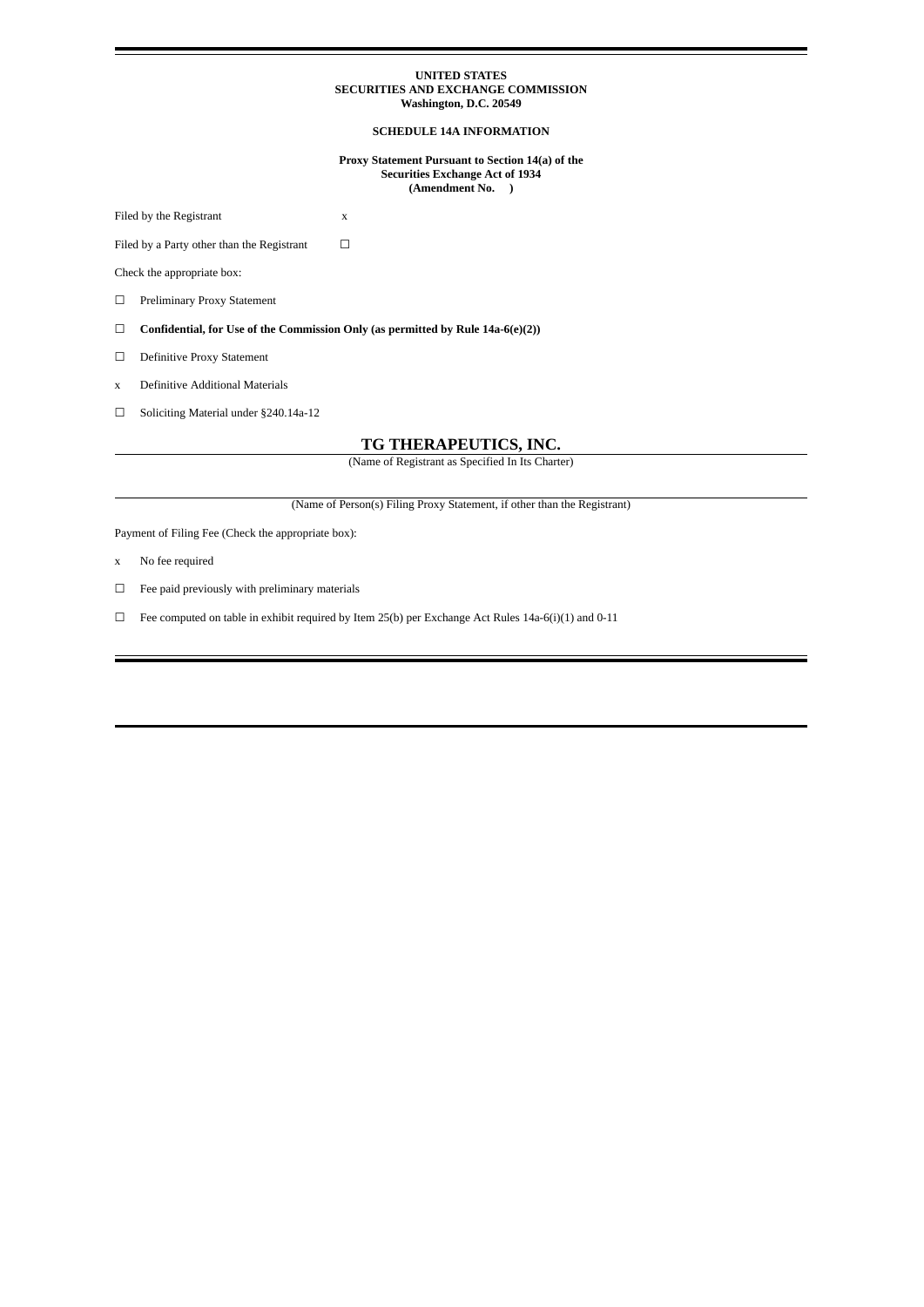#### **UNITED STATES SECURITIES AND EXCHANGE COMMISSION Washington, D.C. 20549**

#### **SCHEDULE 14A INFORMATION**

**Proxy Statement Pursuant to Section 14(a) of the Securities Exchange Act of 1934 (Amendment No. )**

Filed by the Registrant x

Filed by a Party other than the Registrant  $□$ 

Check the appropriate box:

☐ Preliminary Proxy Statement

☐ **Confidential, for Use of the Commission Only (as permitted by Rule 14a-6(e)(2))**

☐ Definitive Proxy Statement

x Definitive Additional Materials

☐ Soliciting Material under §240.14a-12

### **TG THERAPEUTICS, INC.**

(Name of Registrant as Specified In Its Charter)

(Name of Person(s) Filing Proxy Statement, if other than the Registrant)

Payment of Filing Fee (Check the appropriate box):

- x No fee required
- $\Box$  Fee paid previously with preliminary materials

☐ Fee computed on table in exhibit required by Item 25(b) per Exchange Act Rules 14a-6(i)(1) and 0-11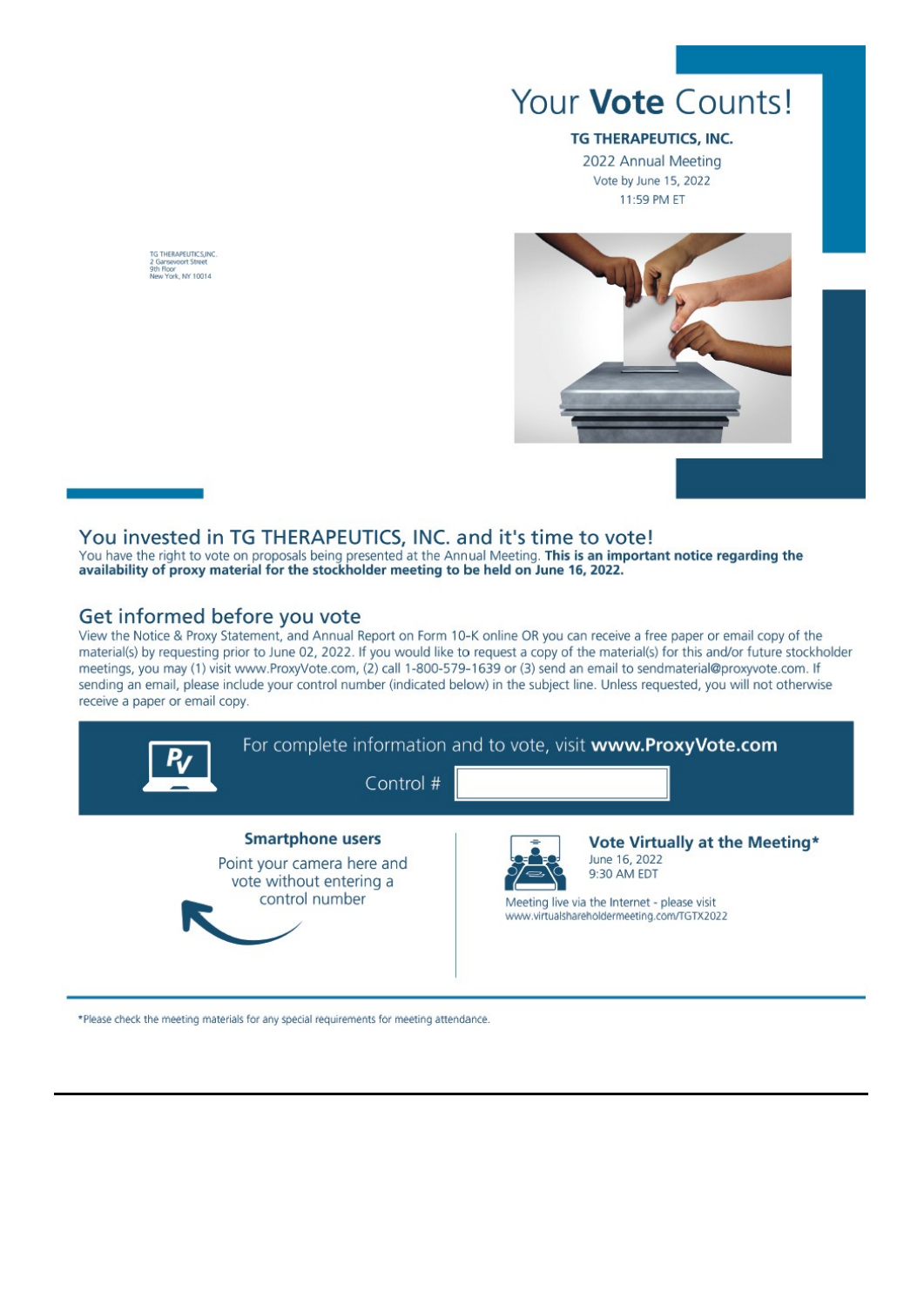

## TG THERAPEUTICS, INC.

2022 Annual Meeting Vote by June 15, 2022 11:59 PM ET



## You invested in TG THERAPEUTICS, INC. and it's time to vote!

You have the right to vote on proposals being presented at the Annual Meeting. This is an important notice regarding the availability of proxy material for the stockholder meeting to be held on June 16, 2022.

# Get informed before you vote

View the Notice & Proxy Statement, and Annual Report on Form 10-K online OR you can receive a free paper or email copy of the material(s) by requesting prior to June 02, 2022. If you would like to request a copy of the material(s) for this and/or future stockholder meetings, you may (1) visit www.ProxyVote.com, (2) call 1-800-579-1639 or (3) send an email to sendmaterial@proxyvote.com. If sending an email, please include your control number (indicated below) in the subject line. Unless requested, you will not otherwise receive a paper or email copy.



\*Please check the meeting materials for any special requirements for meeting attendance.

TG THERAPEUTICS.INC Garneway<br>h Floor<br>ew York, NY 10014